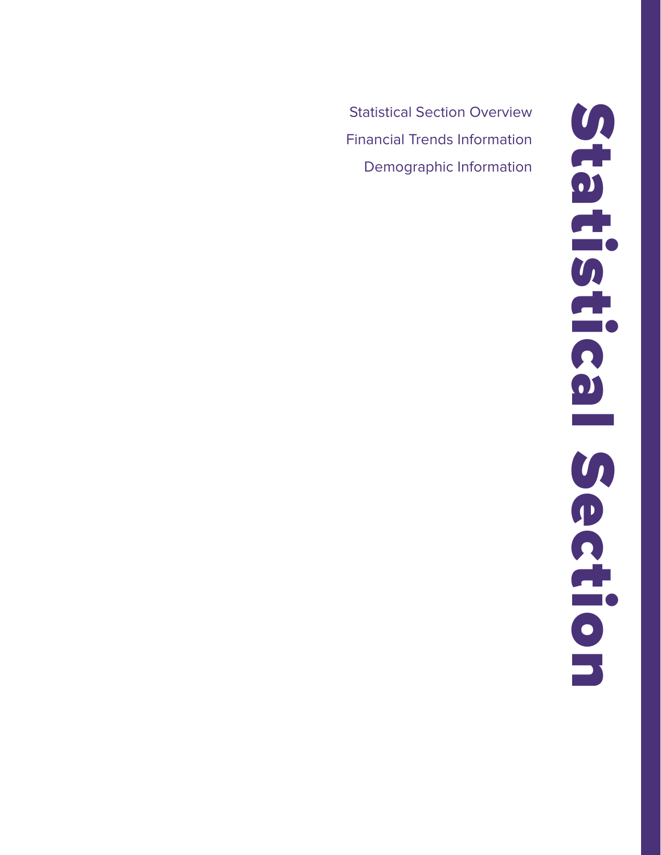Statistical Section Overview Financial Trends Information Demographic Information

Statistical Section **CHECHECE** S ection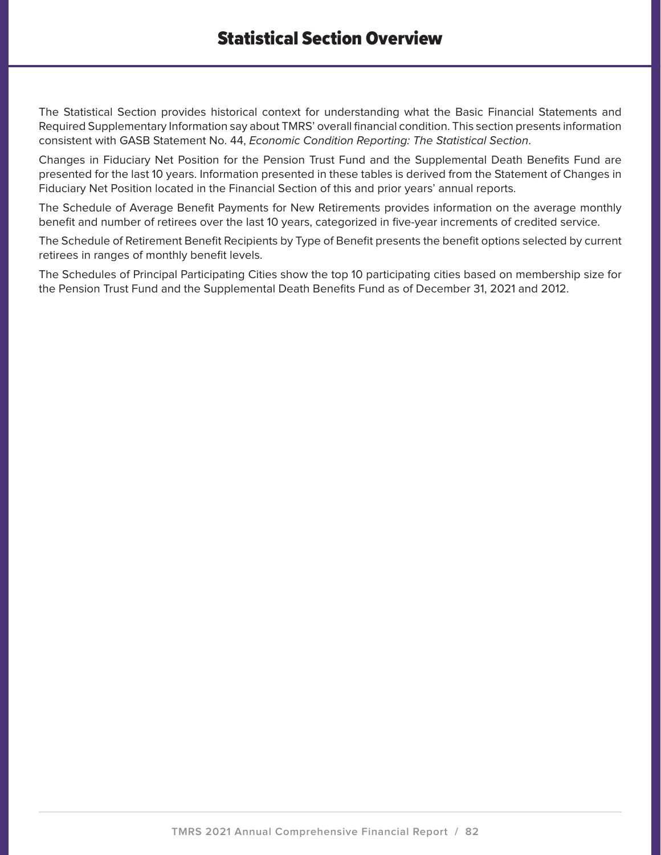The Statistical Section provides historical context for understanding what the Basic Financial Statements and Required Supplementary Information say about TMRS' overall financial condition. This section presents information consistent with GASB Statement No. 44, Economic Condition Reporting: The Statistical Section.

Changes in Fiduciary Net Position for the Pension Trust Fund and the Supplemental Death Benefits Fund are presented for the last 10 years. Information presented in these tables is derived from the Statement of Changes in Fiduciary Net Position located in the Financial Section of this and prior years' annual reports.

The Schedule of Average Benefit Payments for New Retirements provides information on the average monthly benefit and number of retirees over the last 10 years, categorized in five-year increments of credited service.

The Schedule of Retirement Benefit Recipients by Type of Benefit presents the benefit options selected by current retirees in ranges of monthly benefit levels.

The Schedules of Principal Participating Cities show the top 10 participating cities based on membership size for the Pension Trust Fund and the Supplemental Death Benefits Fund as of December 31, 2021 and 2012.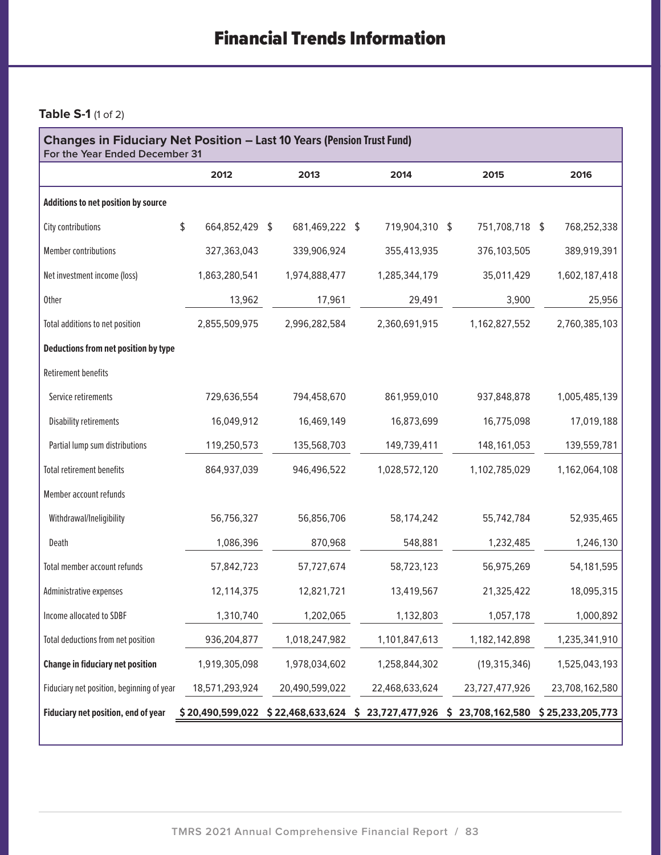## **Table S-1** (1 of 2)

| <b>Changes in Fiduciary Net Position - Last 10 Years (Pension Trust Fund)</b><br>For the Year Ended December 31 |                                                       |    |                |  |                |  |                                     |  |                |  |
|-----------------------------------------------------------------------------------------------------------------|-------------------------------------------------------|----|----------------|--|----------------|--|-------------------------------------|--|----------------|--|
|                                                                                                                 | 2012                                                  |    | 2013           |  | 2014           |  | 2015                                |  | 2016           |  |
| Additions to net position by source                                                                             |                                                       |    |                |  |                |  |                                     |  |                |  |
| City contributions                                                                                              | \$<br>664,852,429                                     | \$ | 681,469,222 \$ |  | 719,904,310 \$ |  | 751,708,718 \$                      |  | 768,252,338    |  |
| <b>Member contributions</b>                                                                                     | 327,363,043                                           |    | 339,906,924    |  | 355,413,935    |  | 376,103,505                         |  | 389,919,391    |  |
| Net investment income (loss)                                                                                    | 1,863,280,541                                         |    | 1,974,888,477  |  | 1,285,344,179  |  | 35,011,429                          |  | 1,602,187,418  |  |
| <b>Other</b>                                                                                                    | 13,962                                                |    | 17,961         |  | 29,491         |  | 3,900                               |  | 25,956         |  |
| Total additions to net position                                                                                 | 2,855,509,975                                         |    | 2,996,282,584  |  | 2,360,691,915  |  | 1,162,827,552                       |  | 2,760,385,103  |  |
| Deductions from net position by type                                                                            |                                                       |    |                |  |                |  |                                     |  |                |  |
| <b>Retirement benefits</b>                                                                                      |                                                       |    |                |  |                |  |                                     |  |                |  |
| Service retirements                                                                                             | 729,636,554                                           |    | 794,458,670    |  | 861,959,010    |  | 937,848,878                         |  | 1,005,485,139  |  |
| <b>Disability retirements</b>                                                                                   | 16,049,912                                            |    | 16,469,149     |  | 16,873,699     |  | 16,775,098                          |  | 17,019,188     |  |
| Partial lump sum distributions                                                                                  | 119,250,573                                           |    | 135,568,703    |  | 149,739,411    |  | 148, 161, 053                       |  | 139,559,781    |  |
| <b>Total retirement benefits</b>                                                                                | 864,937,039                                           |    | 946,496,522    |  | 1,028,572,120  |  | 1,102,785,029                       |  | 1,162,064,108  |  |
| Member account refunds                                                                                          |                                                       |    |                |  |                |  |                                     |  |                |  |
| Withdrawal/Ineligibility                                                                                        | 56,756,327                                            |    | 56,856,706     |  | 58,174,242     |  | 55,742,784                          |  | 52,935,465     |  |
| Death                                                                                                           | 1,086,396                                             |    | 870,968        |  | 548,881        |  | 1,232,485                           |  | 1,246,130      |  |
| Total member account refunds                                                                                    | 57,842,723                                            |    | 57,727,674     |  | 58,723,123     |  | 56,975,269                          |  | 54,181,595     |  |
| Administrative expenses                                                                                         | 12,114,375                                            |    | 12,821,721     |  | 13,419,567     |  | 21,325,422                          |  | 18,095,315     |  |
| Income allocated to SDBF                                                                                        | 1,310,740                                             |    | 1,202,065      |  | 1,132,803      |  | 1,057,178                           |  | 1,000,892      |  |
| Total deductions from net position                                                                              | 936,204,877                                           |    | 1,018,247,982  |  | 1,101,847,613  |  | 1,182,142,898                       |  | 1,235,341,910  |  |
| <b>Change in fiduciary net position</b>                                                                         | 1,919,305,098                                         |    | 1,978,034,602  |  | 1,258,844,302  |  | (19, 315, 346)                      |  | 1,525,043,193  |  |
| Fiduciary net position, beginning of year                                                                       | 18,571,293,924                                        |    | 20,490,599,022 |  | 22,468,633,624 |  | 23,727,477,926                      |  | 23,708,162,580 |  |
| Fiduciary net position, end of year                                                                             | $$20,490,599,022 \ $22,468,633,624 \ $23,727,477,926$ |    |                |  |                |  | $$23,708,162,580$ $$25,233,205,773$ |  |                |  |
|                                                                                                                 |                                                       |    |                |  |                |  |                                     |  |                |  |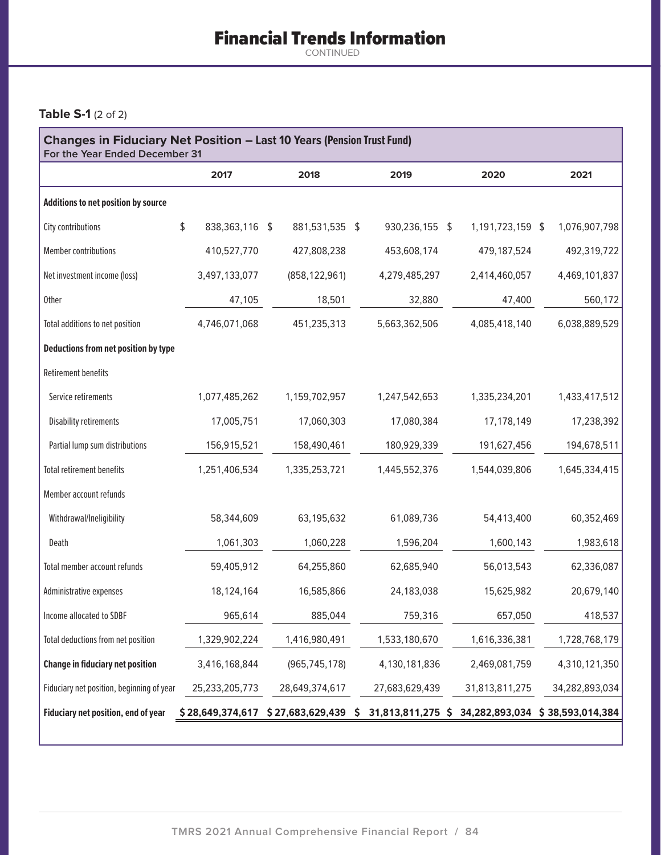# Financial Trends Information

CONTINUED

### **Table S-1** (2 of 2)

| <b>Changes in Fiduciary Net Position - Last 10 Years (Pension Trust Fund)</b><br>For the Year Ended December 31 |                                        |    |                 |  |                |  |                                                    |  |                |  |
|-----------------------------------------------------------------------------------------------------------------|----------------------------------------|----|-----------------|--|----------------|--|----------------------------------------------------|--|----------------|--|
|                                                                                                                 | 2017                                   |    | 2018            |  | 2019           |  | 2020                                               |  | 2021           |  |
| Additions to net position by source                                                                             |                                        |    |                 |  |                |  |                                                    |  |                |  |
| City contributions                                                                                              | \$<br>838,363,116                      | \$ | 881,531,535 \$  |  | 930,236,155 \$ |  | 1,191,723,159 \$                                   |  | 1,076,907,798  |  |
| Member contributions                                                                                            | 410,527,770                            |    | 427,808,238     |  | 453,608,174    |  | 479,187,524                                        |  | 492,319,722    |  |
| Net investment income (loss)                                                                                    | 3,497,133,077                          |    | (858, 122, 961) |  | 4,279,485,297  |  | 2,414,460,057                                      |  | 4,469,101,837  |  |
| <b>Other</b>                                                                                                    | 47,105                                 |    | 18,501          |  | 32,880         |  | 47,400                                             |  | 560,172        |  |
| Total additions to net position                                                                                 | 4,746,071,068                          |    | 451,235,313     |  | 5,663,362,506  |  | 4,085,418,140                                      |  | 6,038,889,529  |  |
| Deductions from net position by type                                                                            |                                        |    |                 |  |                |  |                                                    |  |                |  |
| <b>Retirement benefits</b>                                                                                      |                                        |    |                 |  |                |  |                                                    |  |                |  |
| Service retirements                                                                                             | 1,077,485,262                          |    | 1,159,702,957   |  | 1,247,542,653  |  | 1,335,234,201                                      |  | 1,433,417,512  |  |
| <b>Disability retirements</b>                                                                                   | 17,005,751                             |    | 17,060,303      |  | 17,080,384     |  | 17,178,149                                         |  | 17,238,392     |  |
| Partial lump sum distributions                                                                                  | 156,915,521                            |    | 158,490,461     |  | 180,929,339    |  | 191,627,456                                        |  | 194,678,511    |  |
| <b>Total retirement benefits</b>                                                                                | 1,251,406,534                          |    | 1,335,253,721   |  | 1,445,552,376  |  | 1,544,039,806                                      |  | 1,645,334,415  |  |
| Member account refunds                                                                                          |                                        |    |                 |  |                |  |                                                    |  |                |  |
| Withdrawal/Ineligibility                                                                                        | 58,344,609                             |    | 63,195,632      |  | 61,089,736     |  | 54,413,400                                         |  | 60,352,469     |  |
| Death                                                                                                           | 1,061,303                              |    | 1,060,228       |  | 1,596,204      |  | 1,600,143                                          |  | 1,983,618      |  |
| Total member account refunds                                                                                    | 59,405,912                             |    | 64,255,860      |  | 62,685,940     |  | 56,013,543                                         |  | 62,336,087     |  |
| Administrative expenses                                                                                         | 18,124,164                             |    | 16,585,866      |  | 24,183,038     |  | 15,625,982                                         |  | 20,679,140     |  |
| Income allocated to SDBF                                                                                        | 965,614                                |    | 885,044         |  | 759,316        |  | 657,050                                            |  | 418,537        |  |
| Total deductions from net position                                                                              | 1,329,902,224                          |    | 1,416,980,491   |  | 1,533,180,670  |  | 1,616,336,381                                      |  | 1,728,768,179  |  |
| <b>Change in fiduciary net position</b>                                                                         | 3,416,168,844                          |    | (965, 745, 178) |  | 4,130,181,836  |  | 2,469,081,759                                      |  | 4,310,121,350  |  |
| Fiduciary net position, beginning of year                                                                       | 25,233,205,773                         |    | 28,649,374,617  |  | 27,683,629,439 |  | 31,813,811,275                                     |  | 34,282,893,034 |  |
| Fiduciary net position, end of year                                                                             | $$28,649,374,617$ $$27,683,629,439$ \$ |    |                 |  |                |  | 31,813,811,275 \$ 34,282,893,034 \$ 38,593,014,384 |  |                |  |
|                                                                                                                 |                                        |    |                 |  |                |  |                                                    |  |                |  |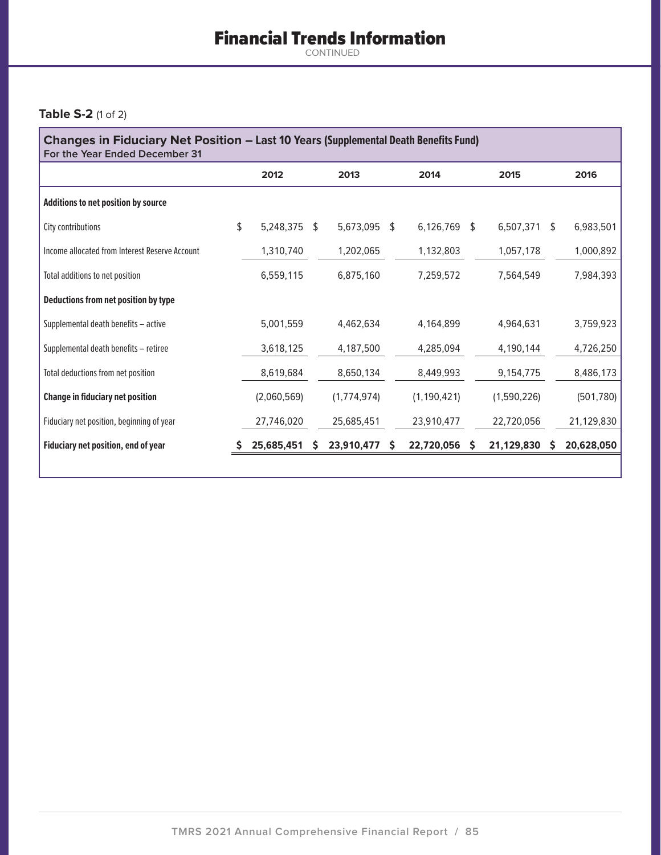# Financial Trends Information

CONTINUED

### **Table S-2** (1 of 2)

| <b>Changes in Fiduciary Net Position – Last 10 Years (Supplemental Death Benefits Fund)</b><br>For the Year Ended December 31 |    |             |    |             |    |               |   |             |               |            |  |  |
|-------------------------------------------------------------------------------------------------------------------------------|----|-------------|----|-------------|----|---------------|---|-------------|---------------|------------|--|--|
|                                                                                                                               |    | 2012        |    | 2013        |    | 2014          |   | 2015        |               | 2016       |  |  |
| Additions to net position by source                                                                                           |    |             |    |             |    |               |   |             |               |            |  |  |
| City contributions                                                                                                            | \$ | 5,248,375   | \$ | 5,673,095   | \$ | 6,126,769 \$  |   | 6,507,371   | <sup>\$</sup> | 6,983,501  |  |  |
| Income allocated from Interest Reserve Account                                                                                |    | 1,310,740   |    | 1,202,065   |    | 1,132,803     |   | 1,057,178   |               | 1,000,892  |  |  |
| Total additions to net position                                                                                               |    | 6,559,115   |    | 6,875,160   |    | 7,259,572     |   | 7,564,549   |               | 7,984,393  |  |  |
| Deductions from net position by type                                                                                          |    |             |    |             |    |               |   |             |               |            |  |  |
| Supplemental death benefits - active                                                                                          |    | 5,001,559   |    | 4,462,634   |    | 4,164,899     |   | 4,964,631   |               | 3,759,923  |  |  |
| Supplemental death benefits - retiree                                                                                         |    | 3,618,125   |    | 4,187,500   |    | 4,285,094     |   | 4,190,144   |               | 4,726,250  |  |  |
| Total deductions from net position                                                                                            |    | 8,619,684   |    | 8,650,134   |    | 8,449,993     |   | 9,154,775   |               | 8,486,173  |  |  |
| <b>Change in fiduciary net position</b>                                                                                       |    | (2,060,569) |    | (1,774,974) |    | (1, 190, 421) |   | (1,590,226) |               | (501, 780) |  |  |
| Fiduciary net position, beginning of year                                                                                     |    | 27,746,020  |    | 25,685,451  |    | 23,910,477    |   | 22,720,056  |               | 21,129,830 |  |  |
| Fiduciary net position, end of year                                                                                           |    | 25,685,451  | S  | 23,910,477  | S  | 22,720,056    | S | 21,129,830  |               | 20,628,050 |  |  |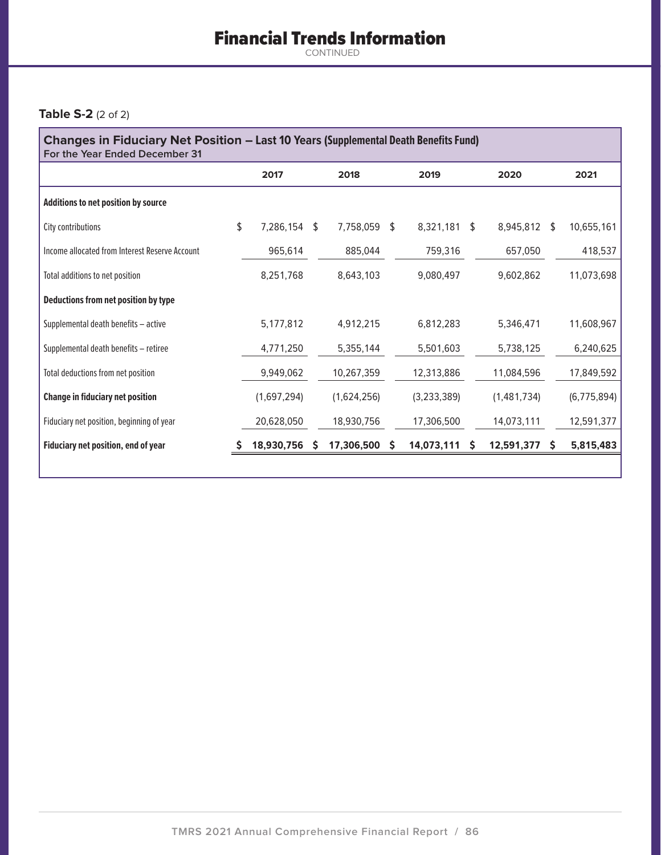# Financial Trends Information

CONTINUED

### **Table S-2** (2 of 2)

| <b>Changes in Fiduciary Net Position – Last 10 Years (Supplemental Death Benefits Fund)</b><br>For the Year Ended December 31 |    |             |    |             |    |             |    |              |  |               |  |  |
|-------------------------------------------------------------------------------------------------------------------------------|----|-------------|----|-------------|----|-------------|----|--------------|--|---------------|--|--|
|                                                                                                                               |    | 2017        |    | 2018        |    | 2019        |    | 2020         |  | 2021          |  |  |
| Additions to net position by source                                                                                           |    |             |    |             |    |             |    |              |  |               |  |  |
| City contributions                                                                                                            | \$ | 7,286,154   | \$ | 7,758,059   | \$ | 8,321,181   | \$ | 8,945,812 \$ |  | 10,655,161    |  |  |
| Income allocated from Interest Reserve Account                                                                                |    | 965,614     |    | 885,044     |    | 759,316     |    | 657,050      |  | 418,537       |  |  |
| Total additions to net position                                                                                               |    | 8,251,768   |    | 8,643,103   |    | 9,080,497   |    | 9,602,862    |  | 11,073,698    |  |  |
| Deductions from net position by type                                                                                          |    |             |    |             |    |             |    |              |  |               |  |  |
| Supplemental death benefits - active                                                                                          |    | 5,177,812   |    | 4,912,215   |    | 6,812,283   |    | 5,346,471    |  | 11,608,967    |  |  |
| Supplemental death benefits - retiree                                                                                         |    | 4,771,250   |    | 5,355,144   |    | 5,501,603   |    | 5,738,125    |  | 6,240,625     |  |  |
| Total deductions from net position                                                                                            |    | 9,949,062   |    | 10,267,359  |    | 12,313,886  |    | 11,084,596   |  | 17,849,592    |  |  |
| <b>Change in fiduciary net position</b>                                                                                       |    | (1,697,294) |    | (1,624,256) |    | (3,233,389) |    | (1,481,734)  |  | (6, 775, 894) |  |  |
| Fiduciary net position, beginning of year                                                                                     |    | 20,628,050  |    | 18,930,756  |    | 17,306,500  |    | 14,073,111   |  | 12,591,377    |  |  |
| Fiduciary net position, end of year                                                                                           |    | 18,930,756  | S  | 17,306,500  | S  | 14,073,111  | S  | 12,591,377   |  | 5,815,483     |  |  |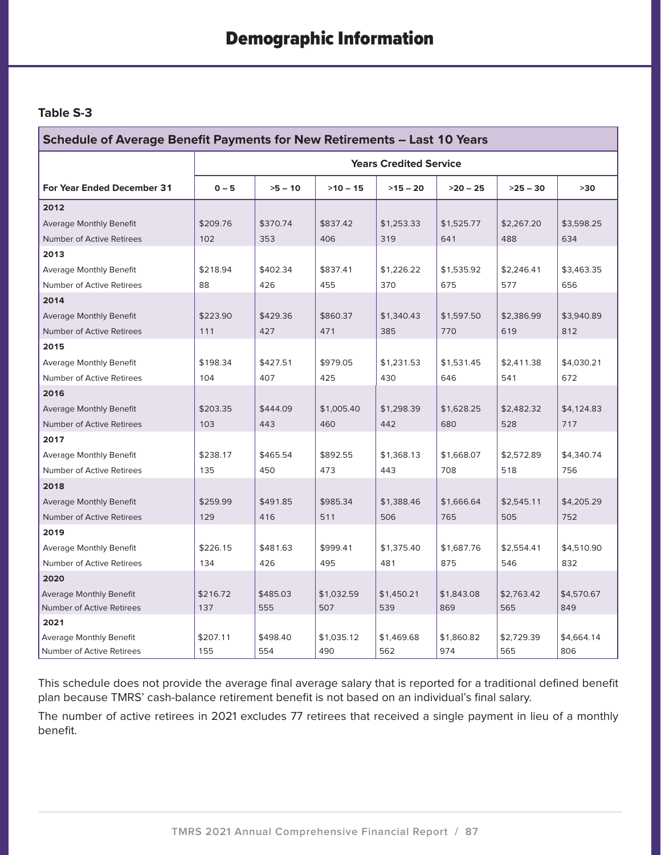### **Table S-3**

| <b>Schedule of Average Benefit Payments for New Retirements - Last 10 Years</b> |          |           |            |                               |            |            |            |  |  |  |  |
|---------------------------------------------------------------------------------|----------|-----------|------------|-------------------------------|------------|------------|------------|--|--|--|--|
|                                                                                 |          |           |            | <b>Years Credited Service</b> |            |            |            |  |  |  |  |
| For Year Ended December 31                                                      | $0 - 5$  | $>5 - 10$ | $>10 - 15$ | $>15 - 20$                    | $>20 - 25$ | $>25 - 30$ | $>30$      |  |  |  |  |
| 2012                                                                            |          |           |            |                               |            |            |            |  |  |  |  |
| <b>Average Monthly Benefit</b>                                                  | \$209.76 | \$370.74  | \$837.42   | \$1,253.33                    | \$1,525.77 | \$2,267.20 | \$3,598.25 |  |  |  |  |
| Number of Active Retirees                                                       | 102      | 353       | 406        | 319                           | 641        | 488        | 634        |  |  |  |  |
| 2013                                                                            |          |           |            |                               |            |            |            |  |  |  |  |
| <b>Average Monthly Benefit</b>                                                  | \$218.94 | \$402.34  | \$837.41   | \$1,226.22                    | \$1,535.92 | \$2,246.41 | \$3,463.35 |  |  |  |  |
| Number of Active Retirees                                                       | 88       | 426       | 455        | 370                           | 675        | 577        | 656        |  |  |  |  |
| 2014                                                                            |          |           |            |                               |            |            |            |  |  |  |  |
| <b>Average Monthly Benefit</b>                                                  | \$223.90 | \$429.36  | \$860.37   | \$1,340.43                    | \$1,597.50 | \$2,386.99 | \$3,940.89 |  |  |  |  |
| Number of Active Retirees                                                       | 111      | 427       | 471        | 385                           | 770        | 619        | 812        |  |  |  |  |
| 2015                                                                            |          |           |            |                               |            |            |            |  |  |  |  |
| <b>Average Monthly Benefit</b>                                                  | \$198.34 | \$427.51  | \$979.05   | \$1,231.53                    | \$1,531.45 | \$2,411.38 | \$4,030.21 |  |  |  |  |
| Number of Active Retirees                                                       | 104      | 407       | 425        | 430                           | 646        | 541        | 672        |  |  |  |  |
| 2016                                                                            |          |           |            |                               |            |            |            |  |  |  |  |
| <b>Average Monthly Benefit</b>                                                  | \$203.35 | \$444.09  | \$1,005.40 | \$1,298.39                    | \$1,628.25 | \$2,482.32 | \$4,124.83 |  |  |  |  |
| Number of Active Retirees                                                       | 103      | 443       | 460        | 442                           | 680        | 528        | 717        |  |  |  |  |
| 2017                                                                            |          |           |            |                               |            |            |            |  |  |  |  |
| <b>Average Monthly Benefit</b>                                                  | \$238.17 | \$465.54  | \$892.55   | \$1,368.13                    | \$1,668.07 | \$2,572.89 | \$4,340.74 |  |  |  |  |
| Number of Active Retirees                                                       | 135      | 450       | 473        | 443                           | 708        | 518        | 756        |  |  |  |  |
| 2018                                                                            |          |           |            |                               |            |            |            |  |  |  |  |
| <b>Average Monthly Benefit</b>                                                  | \$259.99 | \$491.85  | \$985.34   | \$1,388.46                    | \$1,666.64 | \$2,545.11 | \$4,205.29 |  |  |  |  |
| Number of Active Retirees                                                       | 129      | 416       | 511        | 506                           | 765        | 505        | 752        |  |  |  |  |
| 2019                                                                            |          |           |            |                               |            |            |            |  |  |  |  |
| <b>Average Monthly Benefit</b>                                                  | \$226.15 | \$481.63  | \$999.41   | \$1.375.40                    | \$1,687.76 | \$2,554.41 | \$4,510.90 |  |  |  |  |
| Number of Active Retirees                                                       | 134      | 426       | 495        | 481                           | 875        | 546        | 832        |  |  |  |  |
| 2020                                                                            |          |           |            |                               |            |            |            |  |  |  |  |
| <b>Average Monthly Benefit</b>                                                  | \$216.72 | \$485.03  | \$1,032.59 | \$1,450.21                    | \$1,843.08 | \$2,763.42 | \$4,570.67 |  |  |  |  |
| Number of Active Retirees                                                       | 137      | 555       | 507        | 539                           | 869        | 565        | 849        |  |  |  |  |
| 2021                                                                            |          |           |            |                               |            |            |            |  |  |  |  |
| Average Monthly Benefit                                                         | \$207.11 | \$498.40  | \$1,035.12 | \$1,469.68                    | \$1,860.82 | \$2,729.39 | \$4,664.14 |  |  |  |  |
| Number of Active Retirees                                                       | 155      | 554       | 490        | 562                           | 974        | 565        | 806        |  |  |  |  |

This schedule does not provide the average final average salary that is reported for a traditional defined benefit plan because TMRS' cash-balance retirement benefit is not based on an individual's final salary.

The number of active retirees in 2021 excludes 77 retirees that received a single payment in lieu of a monthly benefit.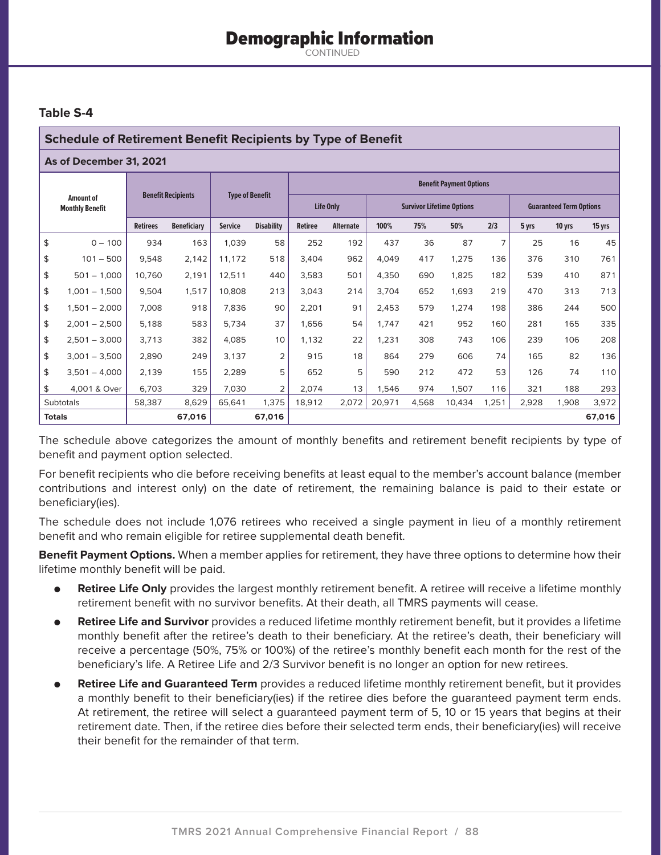## Demographic Information

CONTINUED

### **Table S-4**

### **Schedule of Retirement Benefit Recipients by Type of Benefit**

#### **As of December 31, 2021**

|                                     |                 |                           |                    |                |                        | <b>Benefit Payment Options</b> |                  |        |       |                                  |                                |       |        |        |  |  |
|-------------------------------------|-----------------|---------------------------|--------------------|----------------|------------------------|--------------------------------|------------------|--------|-------|----------------------------------|--------------------------------|-------|--------|--------|--|--|
| Amount of<br><b>Monthly Benefit</b> |                 | <b>Benefit Recipients</b> |                    |                | <b>Type of Benefit</b> |                                | Life Only        |        |       | <b>Survivor Lifetime Options</b> | <b>Guaranteed Term Options</b> |       |        |        |  |  |
|                                     |                 | <b>Retirees</b>           | <b>Beneficiary</b> | <b>Service</b> | <b>Disability</b>      | <b>Retiree</b>                 | <b>Alternate</b> | 100%   | 75%   | 50%                              | 2/3                            | 5 yrs | 10 yrs | 15 yrs |  |  |
| \$                                  | $0 - 100$       | 934                       | 163                | 1,039          | 58                     | 252                            | 192              | 437    | 36    | 87                               | 7                              | 25    | 16     | 45     |  |  |
| \$                                  | $101 - 500$     | 9,548                     | 2,142              | 11,172         | 518                    | 3,404                          | 962              | 4,049  | 417   | 1,275                            | 136                            | 376   | 310    | 761    |  |  |
| \$                                  | $501 - 1,000$   | 10.760                    | 2,191              | 12,511         | 440                    | 3,583                          | 501              | 4,350  | 690   | 1,825                            | 182                            | 539   | 410    | 871    |  |  |
| \$                                  | $1,001 - 1,500$ | 9,504                     | 1,517              | 10,808         | 213                    | 3,043                          | 214              | 3,704  | 652   | 1,693                            | 219                            | 470   | 313    | 713    |  |  |
| \$                                  | $1,501 - 2,000$ | 7,008                     | 918                | 7,836          | 90                     | 2,201                          | 91               | 2,453  | 579   | 1,274                            | 198                            | 386   | 244    | 500    |  |  |
| \$                                  | $2,001 - 2,500$ | 5,188                     | 583                | 5,734          | 37                     | 1,656                          | 54               | 1,747  | 421   | 952                              | 160                            | 281   | 165    | 335    |  |  |
| \$                                  | $2,501 - 3,000$ | 3,713                     | 382                | 4,085          | 10                     | 1,132                          | 22               | 1,231  | 308   | 743                              | 106                            | 239   | 106    | 208    |  |  |
| \$                                  | $3,001 - 3,500$ | 2,890                     | 249                | 3,137          | 2                      | 915                            | 18               | 864    | 279   | 606                              | 74                             | 165   | 82     | 136    |  |  |
| \$                                  | $3,501 - 4,000$ | 2,139                     | 155                | 2,289          | 5                      | 652                            | 5                | 590    | 212   | 472                              | 53                             | 126   | 74     | 110    |  |  |
| \$                                  | 4.001 & Over    | 6,703                     | 329                | 7,030          | $\overline{2}$         | 2,074                          | 13               | 1,546  | 974   | 1,507                            | 116                            | 321   | 188    | 293    |  |  |
|                                     | Subtotals       | 58,387                    | 8,629              | 65,641         | 1,375                  | 18,912                         | 2,072            | 20,971 | 4,568 | 10,434                           | 1,251                          | 2,928 | 1,908  | 3,972  |  |  |
|                                     | <b>Totals</b>   |                           | 67,016             |                | 67,016                 |                                |                  |        |       |                                  |                                |       |        | 67,016 |  |  |

The schedule above categorizes the amount of monthly benefits and retirement benefit recipients by type of benefit and payment option selected.

For benefit recipients who die before receiving benefits at least equal to the member's account balance (member contributions and interest only) on the date of retirement, the remaining balance is paid to their estate or beneficiary(ies).

The schedule does not include 1,076 retirees who received a single payment in lieu of a monthly retirement benefit and who remain eligible for retiree supplemental death benefit.

**Benefit Payment Options.** When a member applies for retirement, they have three options to determine how their lifetime monthly benefit will be paid.

- **Retiree Life Only** provides the largest monthly retirement benefit. A retiree will receive a lifetime monthly retirement benefit with no survivor benefits. At their death, all TMRS payments will cease.
- **Retiree Life and Survivor** provides a reduced lifetime monthly retirement benefit, but it provides a lifetime monthly benefit after the retiree's death to their beneficiary. At the retiree's death, their beneficiary will receive a percentage (50%, 75% or 100%) of the retiree's monthly benefit each month for the rest of the beneficiary's life. A Retiree Life and 2/3 Survivor benefit is no longer an option for new retirees.
- **Retiree Life and Guaranteed Term** provides a reduced lifetime monthly retirement benefit, but it provides a monthly benefit to their beneficiary(ies) if the retiree dies before the guaranteed payment term ends. At retirement, the retiree will select a guaranteed payment term of 5, 10 or 15 years that begins at their retirement date. Then, if the retiree dies before their selected term ends, their beneficiary(ies) will receive their benefit for the remainder of that term.